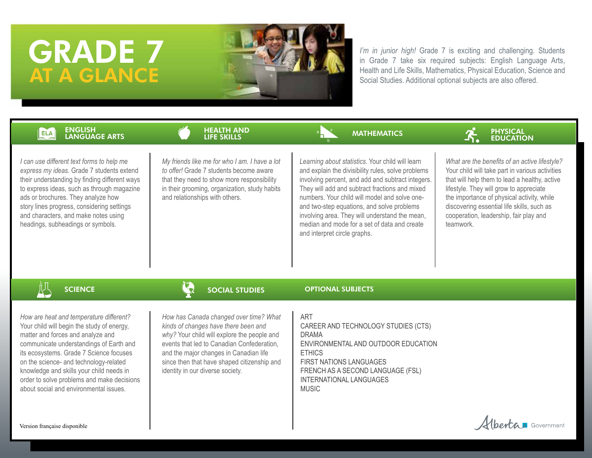# GRADE 7 AT A GLANCE



*I'm in junior high!* Grade 7 is exciting and challenging. Students in Grade 7 take six required subjects: English Language Arts, Health and Life Skills, Mathematics, Physical Education, Science and Social Studies. Additional optional subjects are also offered.

### ENGLISH ELA LANGUAGE ARTS



*I can use different text forms to help me express my ideas.* Grade 7 students extend their understanding by finding different ways to express ideas, such as through magazine ads or brochures. They analyze how story lines progress, considering settings and characters, and make notes using headings, subheadings or symbols.

*My friends like me for who I am. I have a lot to offer!* Grade 7 students become aware that they need to show more responsibility in their grooming, organization, study habits and relationships with others.

HEALTH AND LIFE SKILLS

### **MATHEMATICS**



*Learning about statistics*. Your child will learn and explain the divisibility rules, solve problems involving percent, and add and subtract integers. They will add and subtract fractions and mixed numbers. Your child will model and solve oneand two-step equations, and solve problems involving area. They will understand the mean, median and mode for a set of data and create and interpret circle graphs.

*What are the benefits of an active lifestyle?* Your child will take part in various activities that will help them to lead a healthy, active lifestyle. They will grow to appreciate the importance of physical activity, while discovering essential life skills, such as cooperation, leadership, fair play and teamwork.

### SOCIAL STUDIES

### OPTIONAL SUBJECTS

*How are heat and temperature different?* Your child will begin the study of energy, matter and forces and analyze and communicate understandings of Earth and its ecosystems. Grade 7 Science focuses on the science- and technology-related knowledge and skills your child needs in order to solve problems and make decisions about social and environmental issues.

**SCIENCE** 

*How has Canada changed over time? What kinds of changes have there been and why?* Your child will explore the people and events that led to Canadian Confederation, and the major changes in Canadian life since then that have shaped citizenship and identity in our diverse society.

ART

CAREER AND TECHNOLOGY STUDIES (CTS) DRAMA ENVIRONMENTAL AND OUTDOOR EDUCATION **ETHICS** FIRST NATIONS LANGUAGES FRENCH AS A SECOND LANGUAGE (FSL) INTERNATIONAL LANGUAGES MUSIC